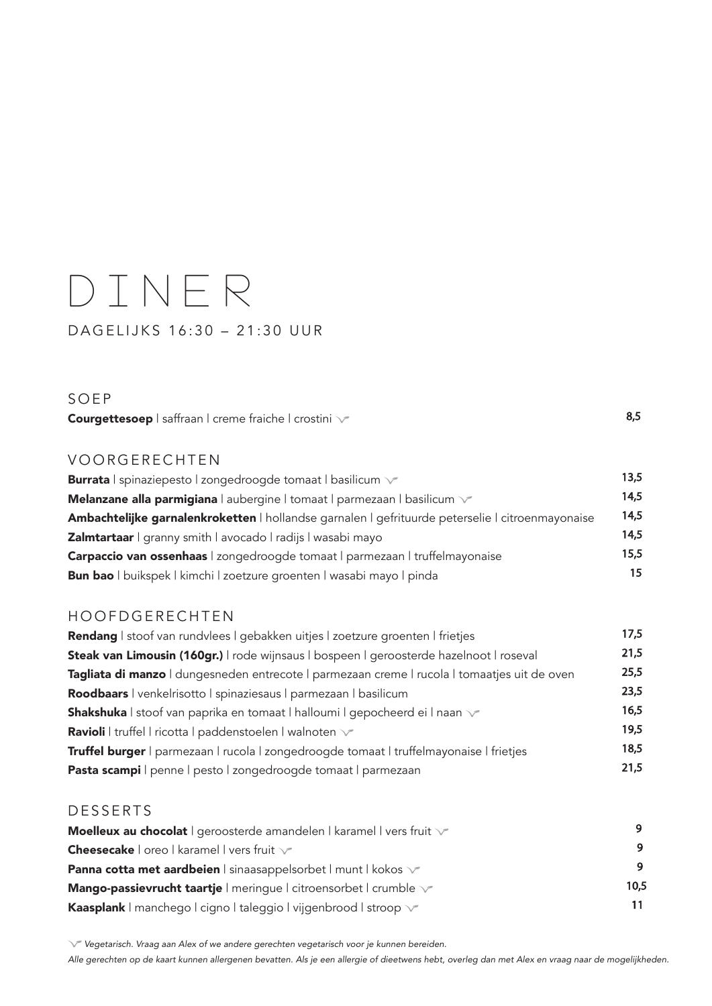## DINER DAGELIJKS 16:30 – 21:30 UUR

SOEP

Courgettesoep | saffraan | creme fraiche | crostini  $\sqrt{2}$ 

VOORGERECHTEN

| <b>Burrata</b>   spinaziepesto   zongedroogde tomaat   basilicum v                               | 13.5 |
|--------------------------------------------------------------------------------------------------|------|
| Melanzane alla parmigiana   aubergine   tomaat   parmezaan   basilicum v                         | 14.5 |
| Ambachtelijke garnalenkroketten   hollandse garnalen   gefrituurde peterselie   citroenmayonaise | 14.5 |
| <b>Zalmtartaar</b>   granny smith   avocado   radijs   wasabi mayo                               | 14,5 |
| Carpaccio van ossenhaas   zongedroogde tomaat   parmezaan   truffelmayonaise                     | 15.5 |
| <b>Bun bao</b> I buikspek I kimchi I zoetzure groenten I wasabi mayo I pinda                     | 15   |

## HOOFDGERECHTEN

| Rendang I stoof van rundvlees I gebakken uitjes I zoetzure groenten I frietjes               | 17,5 |
|----------------------------------------------------------------------------------------------|------|
| Steak van Limousin (160gr.)   rode wijnsaus   bospeen   geroosterde hazelnoot   roseval      | 21,5 |
| Tagliata di manzo I dungesneden entrecote I parmezaan creme I rucola I tomaatjes uit de oven | 25,5 |
| Roodbaars   venkelrisotto   spinaziesaus   parmezaan   basilicum                             | 23,5 |
| <b>Shakshuka</b> I stoof van paprika en tomaat I halloumi I gepocheerd ei I naan $\sqrt{ }$  | 16,5 |
| <b>Ravioli</b>   truffel   ricotta   paddenstoelen   walnoten \                              | 19,5 |
| Truffel burger   parmezaan   rucola   zongedroogde tomaat   truffelmayonaise   frietjes      | 18,5 |
| Pasta scampi   penne   pesto   zongedroogde tomaat   parmezaan                               | 21,5 |

## **DESSERTS**

| Moelleux au chocolat   geroosterde amandelen   karamel   vers fruit $\sqrt{ }$ |      |
|--------------------------------------------------------------------------------|------|
| <b>Cheesecake</b> $ $ oreo $ $ karamel $ $ vers fruit $\sqrt{ }$               | 9    |
| <b>Panna cotta met aardbeien</b>   sinaasappelsorbet   munt   kokos v          | 9    |
| Mango-passievrucht taartje   meringue   citroensorbet   crumble v              | 10,5 |
| <b>Kaasplank</b>   manchego   cigno   taleggio   vijgenbrood   stroop v        | 11   |

 *Vegetarisch. Vraag aan Alex of we andere gerechten vegetarisch voor je kunnen bereiden.*

*Alle gerechten op de kaart kunnen allergenen bevatten. Als je een allergie of dieetwens hebt, overleg dan met Alex en vraag naar de mogelijkheden.*